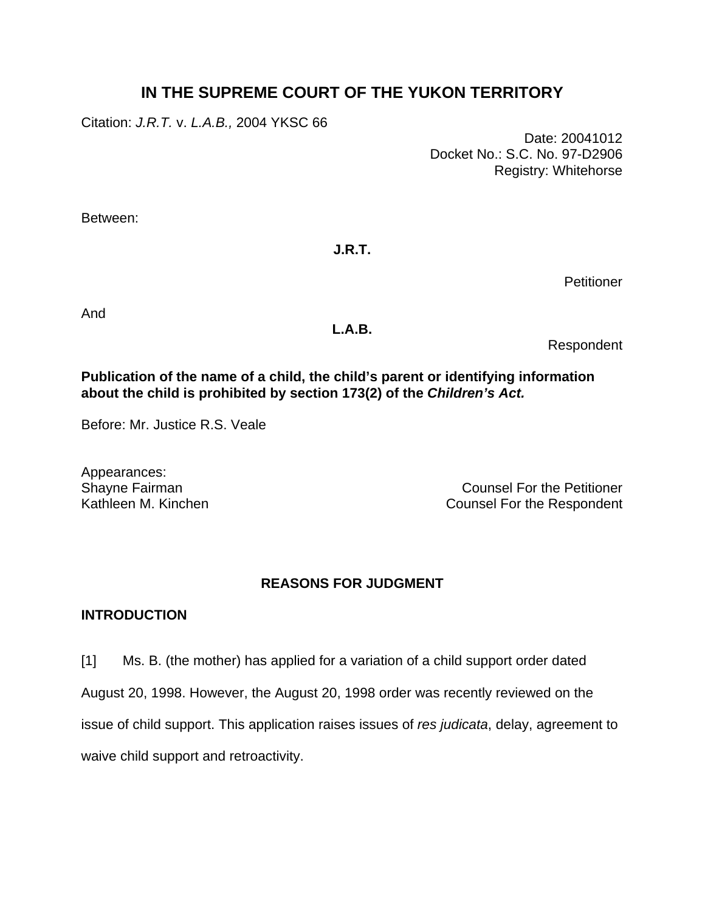# **IN THE SUPREME COURT OF THE YUKON TERRITORY**

Citation: *J.R.T.* v. *L.A.B.,* 2004 YKSC 66

Date: 20041012 Docket No.: S.C. No. 97-D2906 Registry: Whitehorse

Between:

## **J.R.T.**

**Petitioner** 

And

### **L.A.B.**

Respondent

### **Publication of the name of a child, the child's parent or identifying information about the child is prohibited by section 173(2) of the** *Children's Act.*

Before: Mr. Justice R.S. Veale

Appearances:

Shayne Fairman Counsel For the Petitioner Kathleen M. Kinchen **Counsel For the Respondent** 

## **REASONS FOR JUDGMENT**

## **INTRODUCTION**

[1] Ms. B. (the mother) has applied for a variation of a child support order dated

August 20, 1998. However, the August 20, 1998 order was recently reviewed on the

issue of child support. This application raises issues of *res judicata*, delay, agreement to

waive child support and retroactivity.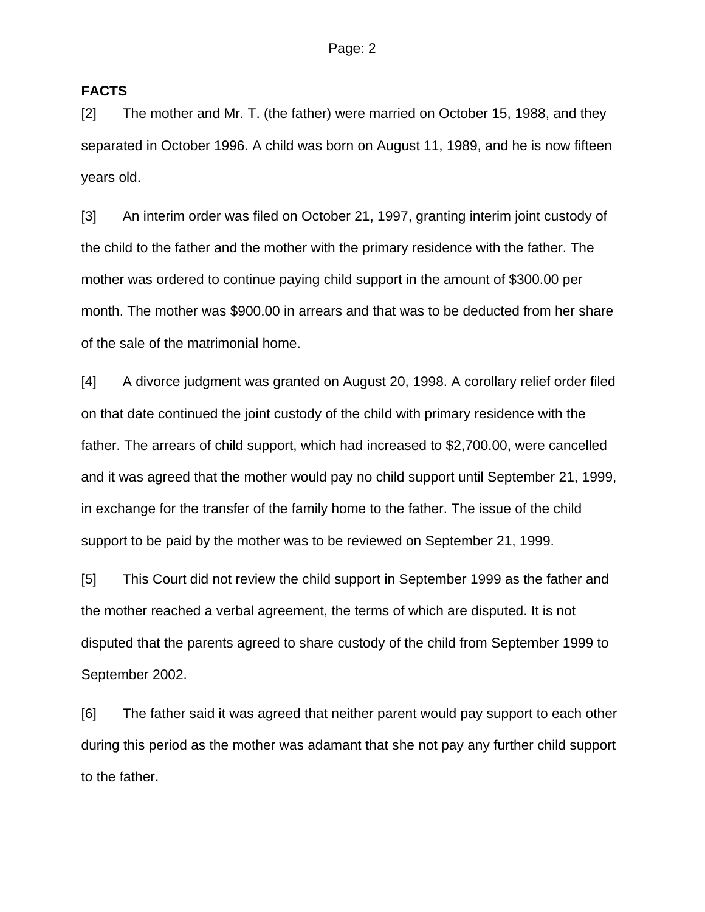#### **FACTS**

[2] The mother and Mr. T. (the father) were married on October 15, 1988, and they separated in October 1996. A child was born on August 11, 1989, and he is now fifteen years old.

[3] An interim order was filed on October 21, 1997, granting interim joint custody of the child to the father and the mother with the primary residence with the father. The mother was ordered to continue paying child support in the amount of \$300.00 per month. The mother was \$900.00 in arrears and that was to be deducted from her share of the sale of the matrimonial home.

[4] A divorce judgment was granted on August 20, 1998. A corollary relief order filed on that date continued the joint custody of the child with primary residence with the father. The arrears of child support, which had increased to \$2,700.00, were cancelled and it was agreed that the mother would pay no child support until September 21, 1999, in exchange for the transfer of the family home to the father. The issue of the child support to be paid by the mother was to be reviewed on September 21, 1999.

[5] This Court did not review the child support in September 1999 as the father and the mother reached a verbal agreement, the terms of which are disputed. It is not disputed that the parents agreed to share custody of the child from September 1999 to September 2002.

[6] The father said it was agreed that neither parent would pay support to each other during this period as the mother was adamant that she not pay any further child support to the father.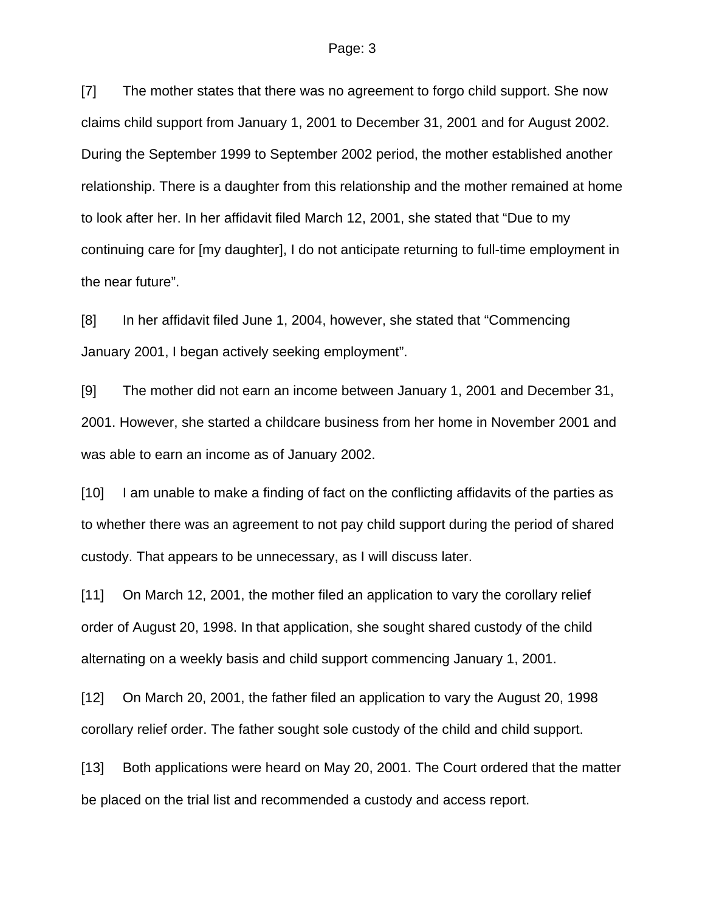[7] The mother states that there was no agreement to forgo child support. She now claims child support from January 1, 2001 to December 31, 2001 and for August 2002. During the September 1999 to September 2002 period, the mother established another relationship. There is a daughter from this relationship and the mother remained at home to look after her. In her affidavit filed March 12, 2001, she stated that "Due to my continuing care for [my daughter], I do not anticipate returning to full-time employment in the near future".

[8] In her affidavit filed June 1, 2004, however, she stated that "Commencing January 2001, I began actively seeking employment".

[9] The mother did not earn an income between January 1, 2001 and December 31, 2001. However, she started a childcare business from her home in November 2001 and was able to earn an income as of January 2002.

[10] I am unable to make a finding of fact on the conflicting affidavits of the parties as to whether there was an agreement to not pay child support during the period of shared custody. That appears to be unnecessary, as I will discuss later.

[11] On March 12, 2001, the mother filed an application to vary the corollary relief order of August 20, 1998. In that application, she sought shared custody of the child alternating on a weekly basis and child support commencing January 1, 2001.

[12] On March 20, 2001, the father filed an application to vary the August 20, 1998 corollary relief order. The father sought sole custody of the child and child support.

[13] Both applications were heard on May 20, 2001. The Court ordered that the matter be placed on the trial list and recommended a custody and access report.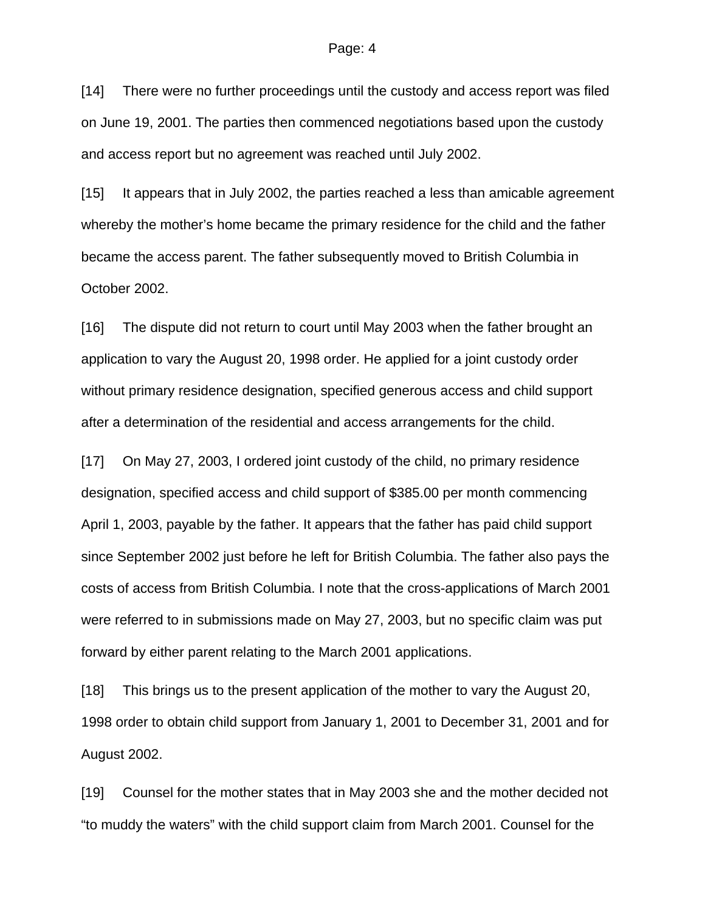#### Page: 4

[14] There were no further proceedings until the custody and access report was filed on June 19, 2001. The parties then commenced negotiations based upon the custody and access report but no agreement was reached until July 2002.

[15] It appears that in July 2002, the parties reached a less than amicable agreement whereby the mother's home became the primary residence for the child and the father became the access parent. The father subsequently moved to British Columbia in October 2002.

[16] The dispute did not return to court until May 2003 when the father brought an application to vary the August 20, 1998 order. He applied for a joint custody order without primary residence designation, specified generous access and child support after a determination of the residential and access arrangements for the child.

[17] On May 27, 2003, I ordered joint custody of the child, no primary residence designation, specified access and child support of \$385.00 per month commencing April 1, 2003, payable by the father. It appears that the father has paid child support since September 2002 just before he left for British Columbia. The father also pays the costs of access from British Columbia. I note that the cross-applications of March 2001 were referred to in submissions made on May 27, 2003, but no specific claim was put forward by either parent relating to the March 2001 applications.

[18] This brings us to the present application of the mother to vary the August 20, 1998 order to obtain child support from January 1, 2001 to December 31, 2001 and for August 2002.

[19] Counsel for the mother states that in May 2003 she and the mother decided not "to muddy the waters" with the child support claim from March 2001. Counsel for the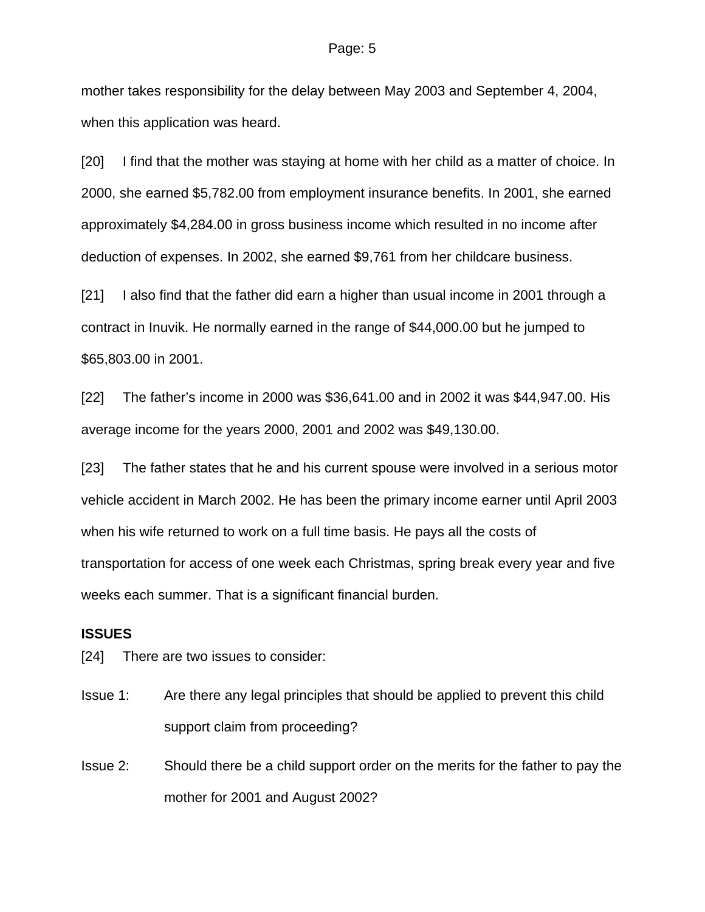mother takes responsibility for the delay between May 2003 and September 4, 2004, when this application was heard.

[20] I find that the mother was staying at home with her child as a matter of choice. In 2000, she earned \$5,782.00 from employment insurance benefits. In 2001, she earned approximately \$4,284.00 in gross business income which resulted in no income after deduction of expenses. In 2002, she earned \$9,761 from her childcare business.

[21] I also find that the father did earn a higher than usual income in 2001 through a contract in Inuvik. He normally earned in the range of \$44,000.00 but he jumped to \$65,803.00 in 2001.

[22] The father's income in 2000 was \$36,641.00 and in 2002 it was \$44,947.00. His average income for the years 2000, 2001 and 2002 was \$49,130.00.

[23] The father states that he and his current spouse were involved in a serious motor vehicle accident in March 2002. He has been the primary income earner until April 2003 when his wife returned to work on a full time basis. He pays all the costs of transportation for access of one week each Christmas, spring break every year and five weeks each summer. That is a significant financial burden.

### **ISSUES**

[24] There are two issues to consider:

- Issue 1: Are there any legal principles that should be applied to prevent this child support claim from proceeding?
- Issue 2: Should there be a child support order on the merits for the father to pay the mother for 2001 and August 2002?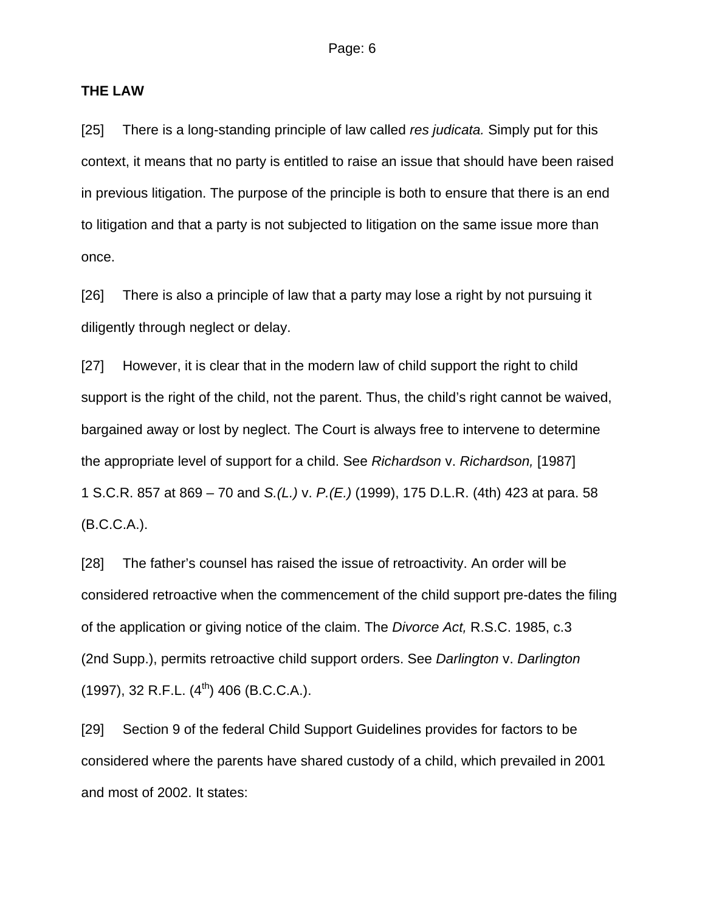#### **THE LAW**

[25] There is a long-standing principle of law called *res judicata.* Simply put for this context, it means that no party is entitled to raise an issue that should have been raised in previous litigation. The purpose of the principle is both to ensure that there is an end to litigation and that a party is not subjected to litigation on the same issue more than once.

[26] There is also a principle of law that a party may lose a right by not pursuing it diligently through neglect or delay.

[27] However, it is clear that in the modern law of child support the right to child support is the right of the child, not the parent. Thus, the child's right cannot be waived, bargained away or lost by neglect. The Court is always free to intervene to determine the appropriate level of support for a child. See *Richardson* v. *Richardson,* [1987] 1 S.C.R. 857 at 869 – 70 and *S.(L.)* v. *P.(E.)* (1999), 175 D.L.R. (4th) 423 at para. 58 (B.C.C.A.).

[28] The father's counsel has raised the issue of retroactivity. An order will be considered retroactive when the commencement of the child support pre-dates the filing of the application or giving notice of the claim. The *Divorce Act,* R.S.C. 1985, c.3 (2nd Supp.), permits retroactive child support orders. See *Darlington* v. *Darlington*  $(1997)$ , 32 R.F.L.  $(4^{th})$  406 (B.C.C.A.).

[29] Section 9 of the federal Child Support Guidelines provides for factors to be considered where the parents have shared custody of a child, which prevailed in 2001 and most of 2002. It states: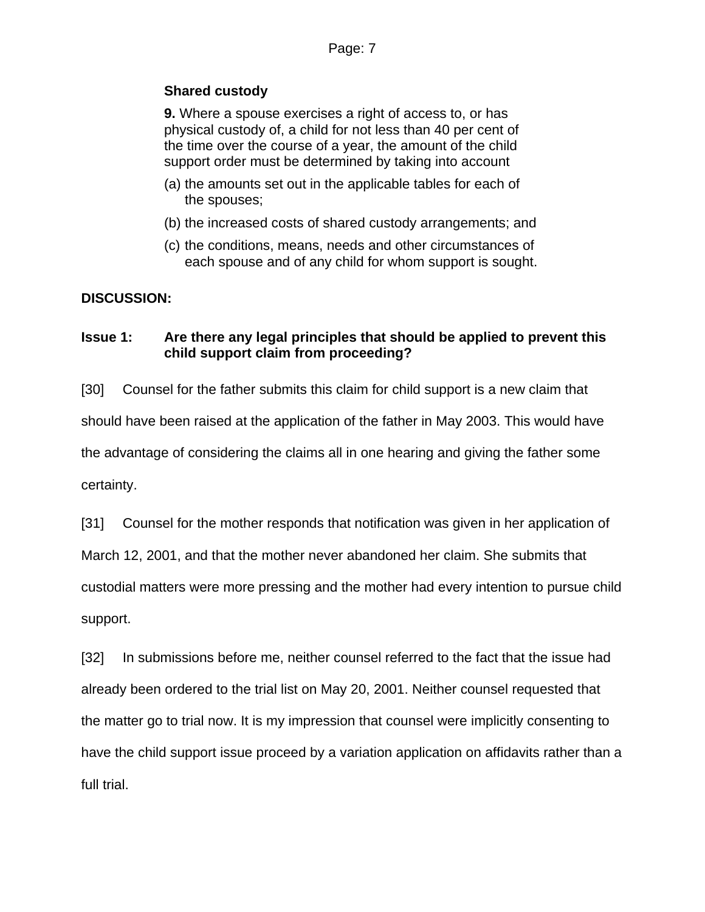## **Shared custody**

**9.** Where a spouse exercises a right of access to, or has physical custody of, a child for not less than 40 per cent of the time over the course of a year, the amount of the child support order must be determined by taking into account

- (a) the amounts set out in the applicable tables for each of the spouses;
- (b) the increased costs of shared custody arrangements; and
- (c) the conditions, means, needs and other circumstances of each spouse and of any child for whom support is sought.

## **DISCUSSION:**

## **Issue 1: Are there any legal principles that should be applied to prevent this child support claim from proceeding?**

[30] Counsel for the father submits this claim for child support is a new claim that should have been raised at the application of the father in May 2003. This would have the advantage of considering the claims all in one hearing and giving the father some certainty.

[31] Counsel for the mother responds that notification was given in her application of

March 12, 2001, and that the mother never abandoned her claim. She submits that

custodial matters were more pressing and the mother had every intention to pursue child support.

[32] In submissions before me, neither counsel referred to the fact that the issue had already been ordered to the trial list on May 20, 2001. Neither counsel requested that the matter go to trial now. It is my impression that counsel were implicitly consenting to have the child support issue proceed by a variation application on affidavits rather than a full trial.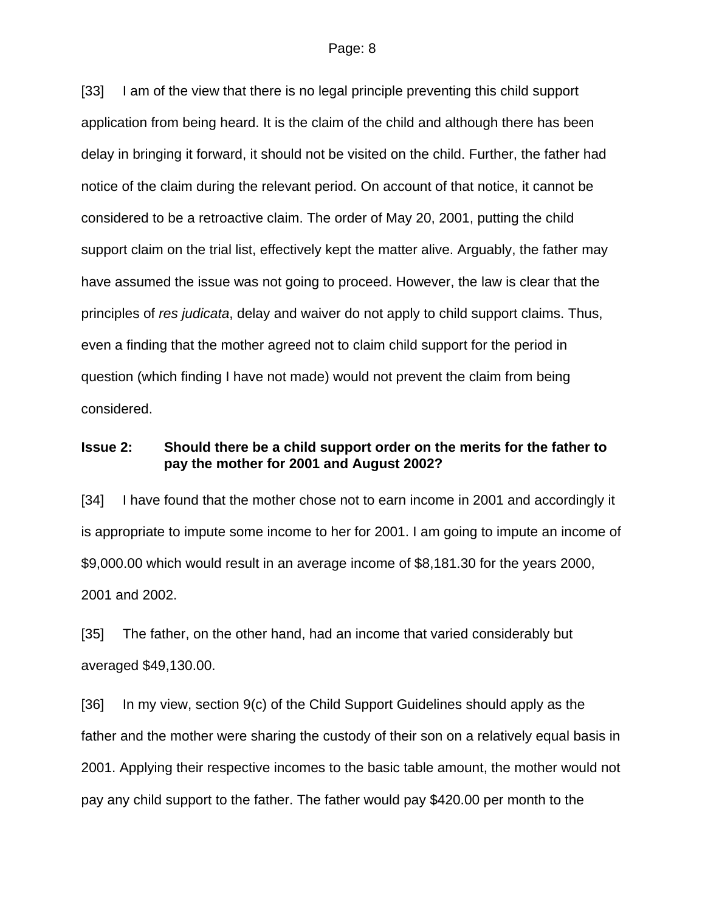[33] I am of the view that there is no legal principle preventing this child support application from being heard. It is the claim of the child and although there has been delay in bringing it forward, it should not be visited on the child. Further, the father had notice of the claim during the relevant period. On account of that notice, it cannot be considered to be a retroactive claim. The order of May 20, 2001, putting the child support claim on the trial list, effectively kept the matter alive. Arguably, the father may have assumed the issue was not going to proceed. However, the law is clear that the principles of *res judicata*, delay and waiver do not apply to child support claims. Thus, even a finding that the mother agreed not to claim child support for the period in question (which finding I have not made) would not prevent the claim from being considered.

#### **Issue 2: Should there be a child support order on the merits for the father to pay the mother for 2001 and August 2002?**

[34] I have found that the mother chose not to earn income in 2001 and accordingly it is appropriate to impute some income to her for 2001. I am going to impute an income of \$9,000.00 which would result in an average income of \$8,181.30 for the years 2000, 2001 and 2002.

[35] The father, on the other hand, had an income that varied considerably but averaged \$49,130.00.

[36] In my view, section 9(c) of the Child Support Guidelines should apply as the father and the mother were sharing the custody of their son on a relatively equal basis in 2001. Applying their respective incomes to the basic table amount, the mother would not pay any child support to the father. The father would pay \$420.00 per month to the